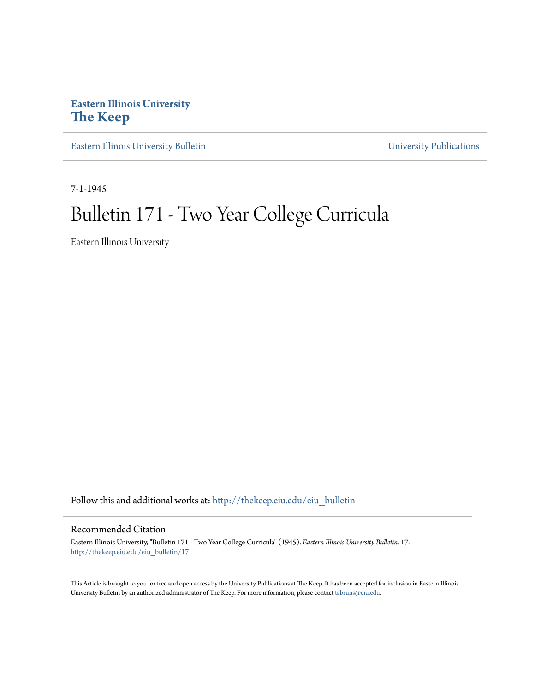# **Eastern Illinois University [The Keep](http://thekeep.eiu.edu?utm_source=thekeep.eiu.edu%2Feiu_bulletin%2F17&utm_medium=PDF&utm_campaign=PDFCoverPages)**

[Eastern Illinois University Bulletin](http://thekeep.eiu.edu/eiu_bulletin?utm_source=thekeep.eiu.edu%2Feiu_bulletin%2F17&utm_medium=PDF&utm_campaign=PDFCoverPages) **Eastern Illinois [University Publications](http://thekeep.eiu.edu/eiu_pubs?utm_source=thekeep.eiu.edu%2Feiu_bulletin%2F17&utm_medium=PDF&utm_campaign=PDFCoverPages)** 

7-1-1945

# Bulletin 171 - Two Year College Curricula

Eastern Illinois University

Follow this and additional works at: [http://thekeep.eiu.edu/eiu\\_bulletin](http://thekeep.eiu.edu/eiu_bulletin?utm_source=thekeep.eiu.edu%2Feiu_bulletin%2F17&utm_medium=PDF&utm_campaign=PDFCoverPages)

## Recommended Citation

Eastern Illinois University, "Bulletin 171 - Two Year College Curricula" (1945). *Eastern Illinois University Bulletin*. 17. [http://thekeep.eiu.edu/eiu\\_bulletin/17](http://thekeep.eiu.edu/eiu_bulletin/17?utm_source=thekeep.eiu.edu%2Feiu_bulletin%2F17&utm_medium=PDF&utm_campaign=PDFCoverPages)

This Article is brought to you for free and open access by the University Publications at The Keep. It has been accepted for inclusion in Eastern Illinois University Bulletin by an authorized administrator of The Keep. For more information, please contact [tabruns@eiu.edu.](mailto:tabruns@eiu.edu)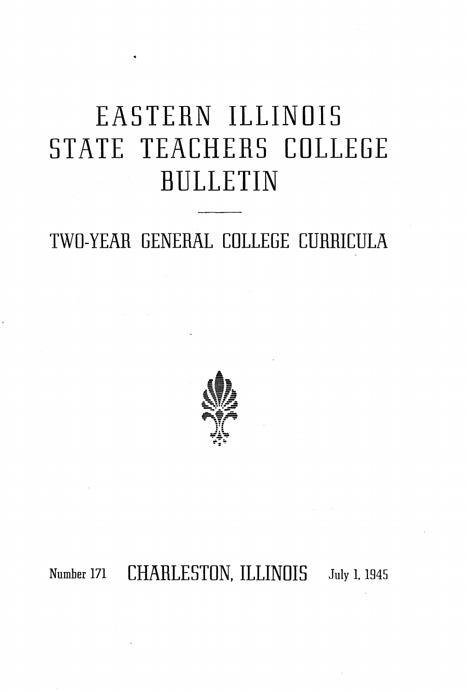# EASTERN ILLINOIS STATE TEACHERS COLLEGE BULLETIN

# TWO-YEAR GENERAL COLLEGE CURRICULA



Number 171 CHARLESTON, ILLINOIS July 1, 1945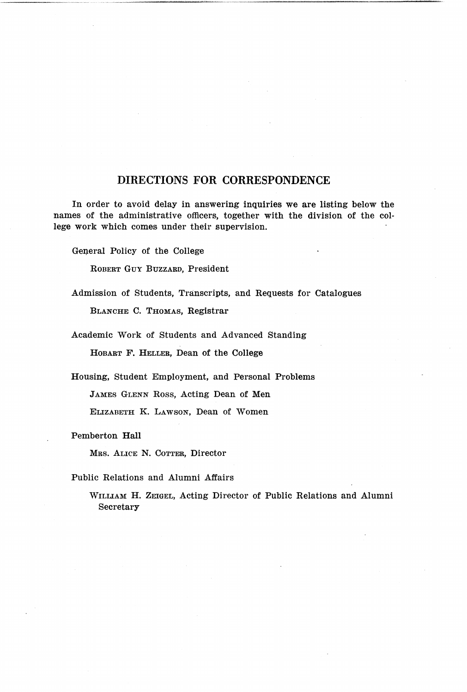#### **DIRECTIONS FOR CORRESPONDENCE**

In order to avoid delay in answering inquiries we are listing below the names of the administrative officers, together with the division of the college work which comes under their supervision.

General Policy of the College

ROBERT GuY BUZZARD, President

Admission of Students, Transcripts, and Requests for Catalogues

BLANCHE C. THOMAS, Registrar

Academic Work of Students and Advanced Standing

HoBART F. HELLER, Dean of the College

Housing, Student Employment, and Personal Problems

JAMES GLENN Ross, Acting Dean of Men

ELIZABETH K. LAWSON, Dean of Women

Pemberton **Hall** 

MRS. ALICE N. COTTER, Director

Public Relations and Alumni Affairs

WILLIAM H. ZEIGEL, Acting Director of Public Relations and Alumni Secretary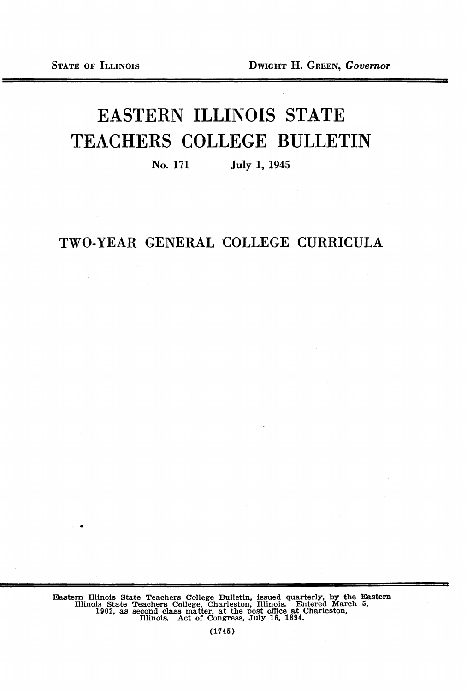# EASTERN ILLINOIS STATE TEACHERS COLLEGE BULLETIN

No. 171 July I, 1945

# TWO-YEAR GENERAL COLLEGE CURRICULA

Eastern Illinois State Teachers College Bulletin, issued quarterly, by the Eastern Illinois State Teachers College, Charleston, Illinois. Entered March 5, 1902, as second class matter, at the post office at Charleston, Ill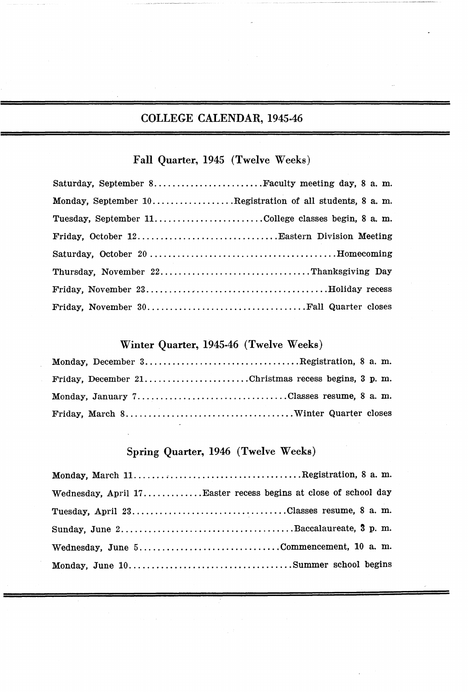# COLLEGE CALENDAR, 1945-46

# Fall Quarter, 1945 (Twelve Weeks)

| Saturday, September 8Faculty meeting day, 8 a.m.         |
|----------------------------------------------------------|
| Monday, September 10Registration of all students, 8 a.m. |
| Tuesday, September 11College classes begin, 8 a.m.       |
|                                                          |
|                                                          |
|                                                          |
|                                                          |
|                                                          |

# Winter Quarter, 1945-46 (Twelve Weeks)

| Monday, December 3Registration, 8 a.m.             |  |  |
|----------------------------------------------------|--|--|
| Friday, December 21Christmas recess begins, 3 p.m. |  |  |
| Monday, January 7Classes resume, 8 a.m.            |  |  |
|                                                    |  |  |

### Spring Quarter, 1946 (Twelve Weeks)

| Wednesday, April 17Easter recess begins at close of school day |  |
|----------------------------------------------------------------|--|
| Tuesday, April 23Classes resume, 8 a.m.                        |  |
|                                                                |  |
|                                                                |  |
|                                                                |  |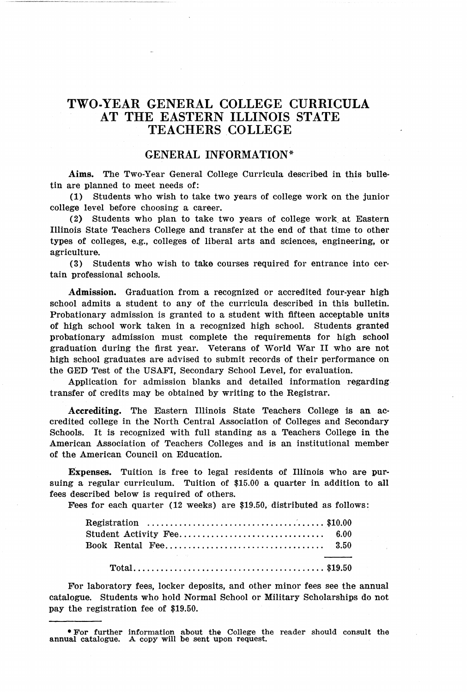### **TWO-YEAR GENERAL COLLEGE CURRICULA AT THE EASTERN ILLINOIS STATE TEACHERS COLLEGE**

#### **GENERAL INFORMATION\***

**Aims.** The Two-Year General College Curricula described in this bulletin are planned to meet needs of:

**(1)** Students who wish to take two years of college work on the junior college level before choosing a career.

( 2) Students who plan to take two years of college work\_ at Eastern Illinois State Teachers College and transfer at the end of that time to other types of colleges, e.g., colleges of liberal arts and sciences, engineering, or agriculture.

(3) Students who wish to take courses required for entrance into cer· tain professional schools.

**Admission.** Graduation from a recognized or accredited four-year high school admits a student to any of the curricula described in this bulletin. Probationary admission is granted to a student with fifteen acceptable units of high school work taken in a recognized high school. Students granted probationary admission must complete the requirements for high school graduation during the first year. Veterans of World War II who are not high school graduates are advised to submit records of their performance on the GED Test of the USAF!, Secondary School Level, for evaluation.

Application for admission blanks and detailed information regarding transfer of credits may be obtained by writing to the Registrar.

**Accrediting.** The Eastern Illinois State Teachers College is an accredited college in the North Central Association of Colleges and Secondary Schools. It is recognized with full standing as a Teachers College in the American Association of Teachers Colleges and is an institutional member of the American Council on Education.

Expenses. Tuition is free to legal residents of Illinois who are pursuing a regular curriculum. Tuition of \$15.00 a quarter in addition to all fees described below is required of others.

Fees for each quarter (12 weeks) are \$19.50, distributed as follows:

|  | Registration $\ldots \ldots \ldots \ldots \ldots \ldots \ldots \ldots \ldots \ldots \ldots$ \$10.00 |  |  |  |
|--|-----------------------------------------------------------------------------------------------------|--|--|--|
|  |                                                                                                     |  |  |  |
|  |                                                                                                     |  |  |  |
|  | the contract of the contract of the con-                                                            |  |  |  |
|  |                                                                                                     |  |  |  |

For laboratory fees, locker deposits, and other minor fees see the annual catalogue. Students who hold Normal School or Military Scholarships do not pay the registration fee of \$19.50.

<sup>•</sup> For further Information about the College the reader should consult the annual catalogue. A copy will be sent upon request.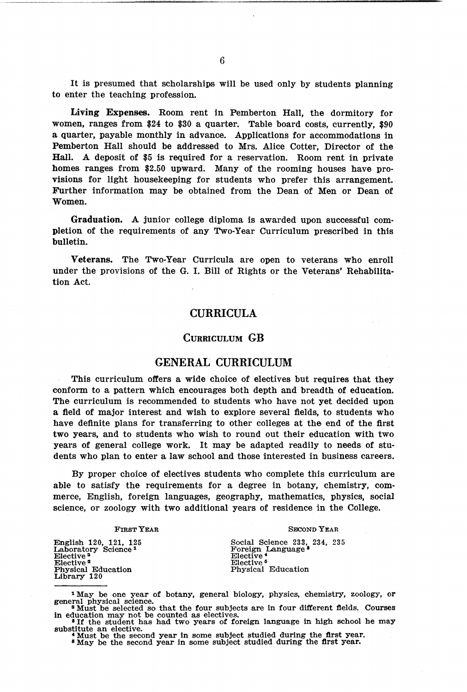It is presumed that scholarships will be used only by students planning to enter the teaching profession.

Living Expenses. Room rent in Pemberton Hall, the dormitory for women, ranges from \$24 to \$30 a quarter. Table board costs, currently, \$90 a quarter, payable monthly in advance. Applications for accommodations in Pemberton Hall should be addressed to Mrs. Alice Cotter, Director of the Hall. A deposit of \$5 is required for a reservation. Room rent in private homes ranges from \$2.50 upward. Many of the rooming houses have provisions for light housekeeping for students who prefer this arrangement. Further information may be obtained from the Dean of Men or Dean of Women.

Graduation. A junior college diploma is awarded upon successful completion of the requirements of any Two-Year Curriculum prescribed in this bulletin.

Veterans. The Two-Year Curricula are open to veterans who enroll under the provisions of the G. I. Bill of Rights or the Veterans' Rehabilitation Act.

#### CURRICULA

#### CURRICULUM GB

#### GENERAL CURRICULUM

This curriculum offers a wide choice of electives but requires that they conform to a pattern which encourages both depth and breadth of education. The curriculum is recommended to students who have not yet decided upon a field of major interest and wish to explore several fields, to students who have definite plans for transferring to other colleges at the end of the first two years, and to students who wish to round out their education with two years of general college work. It may be adapted readily to needs of students who plan to enter a law school and those interested in business careers.

By proper choice of electives students who complete this curriculum are able to satisfy the requirements for a degree in botany, chemistry, commerce, English, foreign languages, geography, mathematics, physics, social science, or zoology with two additional years of residence in the College.

#### FIRST YEAR

#### SECOND YEAR

Social Science 233, 234, 235<br>Foreign Language •<br>Elective •<br>Elective • Elective<sup>6</sup><br>Physical Education

English 120, 121, 125 Laboratory Science <sup>1</sup> Elective<sup>2</sup><br>Elective<sup>2</sup><br>Physical Education Library 120

\* Must be the second year in some subject studied during the first year. • May be the second year in some subject studied during the first year.

<sup>&</sup>lt;sup>1</sup>May be one year of botany, general biology, physics, chemistry, zoology, or general physical science.<br><sup>• M</sup>ust be selected so that the four subjects are in four different fields. Courses in education may not be counted

<sup>&</sup>lt;sup>3</sup> If the student has had two years of foreign language in high school he may substitute an elective.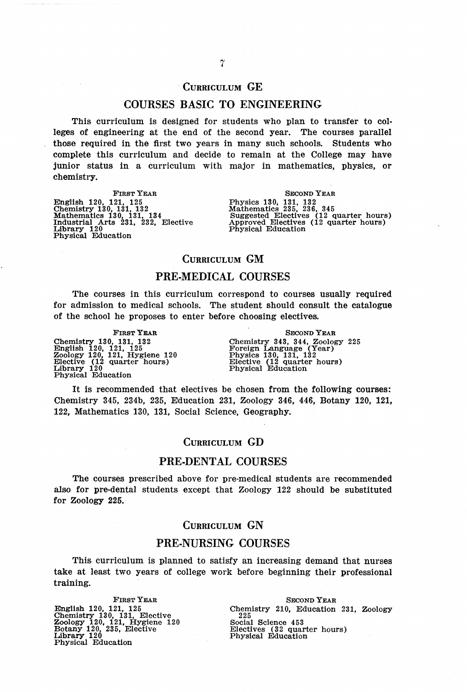#### CURRICULUM GE

#### COURSES BASIC TO ENGINEERING

This curriculum is designed for students who plan to transfer to col· leges of engineering at the end of the second year. The courses parallel those required in the first two years in many such schools. Students who complete this curriculum and decide to remain at the College may have junior status in a curriculum with major in mathematics, physics, or chemistry.

FIRST YEAR English 120, 121, 125 Chemistry 130 131, 132 Mathematics l30, 131, 134 Industrial Arts 231, 232, Elective Library 120 Physical Education

SECOND YEAR Physics 130, 131, 132 Mathematics 235, 236, 345 Suggested Electives (12 quarter hours) Approved Electives (12 quarter hours) Physical Education

#### CURRICULUM GM

#### PRE-MEDICAL COURSES

The courses in this curriculum correspond to courses usually required for admission to medical schools. The student should consult the catalogue of the school he proposes to enter before choosing electives.

FIRST YEAR Chemistry 130, 131, 132<br>English 120, 121, 125<br>Zoology 120, 121, Hygiene 120<br>Elective (12 quarter hours)<br>Library 120<br>Physical Education

SECOND YEAR Chemistry 343, 344, Zoology 225 Foreign Language (Year) Physics 130, 131, 132 Elective (12 quarter hours) Physical Education

It is recommended that electives be chosen from the following courses: Chemistry 345, 234b, 235, Education 231, Zoology 346, 446, Botany 120, 121, 122, Mathematics 130, 131, Social Science, Geography.

#### CURRICULUM GD

#### PRE-DENTAL COURSES

The courses prescribed above for pre-medical students are recommended also for pre-dental students except that Zoology 122 should be substituted for Zoology 225.

#### CURRICULUM GN

#### PRE-NURSING COURSES

This curriculum is planned to satisfy an increasing demand that nurses take at least two years of college work before beginning their professional training.

FIRST YEAR English 120, 121, 125 Chemistry 130, 131, Elective Zoology 120, 121, Hygiene 120 Botany 120, 235, Elective Library 120 Physical Education

SECOND YEAR Chemistry 210, Education 231, Zoology 225 Social Science 453 Electives (32 quarter hours) Physical Education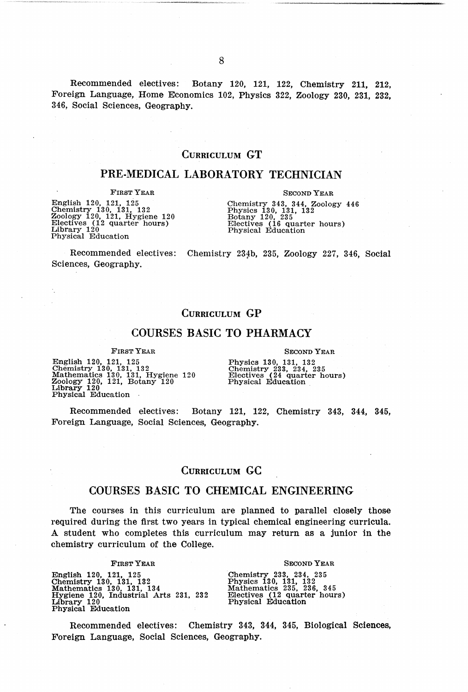Recommended electives: Botany 120, 121, 122, Chemistry 211, 212, Foreign Language, Home Economics 102, Physics 322, Zoology 230, 231, 232, 346, Social Sciences, Geography.

#### CURRICULUM GT

#### PRE-MEDICAL LABORATORY TECHNICIAN

#### FIRST YEAR

English 120, 121, 125<br>Chemistry 130, 131, 132<br>Zoology 120, 121, Hygiene 120<br>Electives (12 quarter hours)<br>Library 120<br>Physical Education

SECOND YEAR

Chemistry 343, 344, Zoology 446 Physics 130, 131, 132 Botany 120, 235 Electives (16 quarter hours) Physical Education

Recommended electives: Chemistry 234b, 235, Zoology 227, 346, Social Sciences, Geography.

#### CURRICULUM GP

#### COURSES BASIC TO PHARMACY

FIRST YEAR

English 120, 121, 125 Chemistry 130, 131, 132 Mathematics 130, 131, Hygiene 120 Zoology 120, 121, Botany 120 Library 120 Physical Education

SECOND YEAR

Physics 130, 131, 132 Chemistry 233, 234, 235 Electives ( 24 quarter hours) Physical Education

Recommended electives: Botany 121, 122, Chemistry 343, 344, 345, Foreign Language, Social Sciences, Geography.

#### CURRICULUM GC

#### COURSES BASIC TO CHEMICAL ENGINEERING

The courses in this curriculum are planned to parallel closely those required during the first two years in typical chemical engineering curricula. A student who completes this curriculum may return as a junior in the chemistry curriculum of the College.

FIRST YEAR

English 120, 121, 125 Chemistry 130, 131, 132 Mathematics 130, 131, 134 Hygiene 120, Industrial Arts 231, 232 Library 120 Physical Education

#### SECOND YEAR

Chemistry 233, 234, 235 Physics 130, 131, 132 Mathematics 235, 236, 345 Electives (12 quarter hours) Physical Education

Recommended electives: Chemistry 343, 344, 345, Biological Sciences, Foreign Language, Social Sciences, Geography.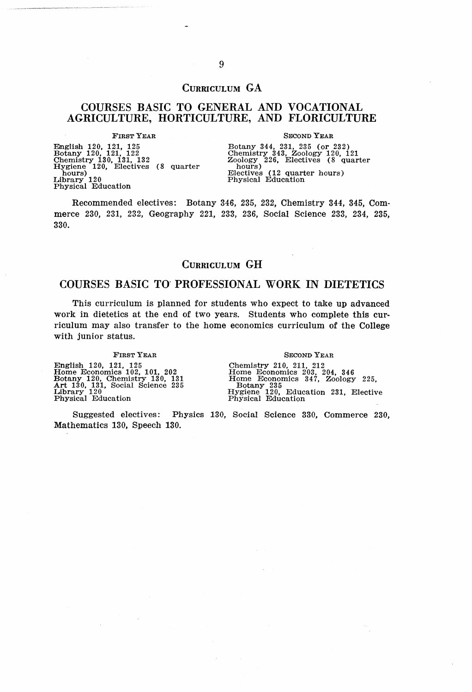#### CURRICULUM GA

#### COURSES BASIC TO GENERAL AND VOCATIONAL AGRICULTURE, HORTICULTURE, AND FLORICULTURE

FIRST YEAR

English 120, 121, 125<br>Botany 120, 121, 122<br>Chemistry 130, 131, 132<br>Hygiene 120, Electives (8 quarter<br>hours) 120<br>Library 120 Library 120<br>Physical Education

SECOND YEAR

Botany 344, 231, 235 (or 232) Chemistry 343, Zoology 120, 121 Zoology 226, Electives (8 quarter hours)<br>hours) Electives (12 quarter hours)<br>Electives (12 quarter hours)<br>Physical Education

Recommended electives: Botany 346, 235, 232, Chemistry 344, 345, Commerce 230, 231, 232, Geography 221, 233, 236, Social Science 233, 234, 235, 330.

#### CURRICULUM GH

#### COURSES BASIC TO" PROFESSIONAL WORK IN DIETETICS

This curriculum is planned for students who expect to take up advanced work in dietetics at the end of two years. Students who complete this curriculum may also transfer to the home economics curriculum of the College with junior status.

FIRST YEAR

English 120, 121, 125 Home Economics 102, 101, 202 Botany 120, Chemistry 130, 131 Art 130, 131, Social Science 235 Library 120 Physical Education

#### SECOND YEAR

Chemistry 210, 211, 212<br>
Home Economics 203, 204, 346<br>
Home Economics 347, Zoology 225,<br>
Botany 235<br>
Hygiene 120, Education 231, Elective<br>
Hygiene 120, Education 231, Elective<br>
Physical Education

Suggested electives: Physics 130, Social Science 330, Commerce 230, Mathematics 130, Speech 130.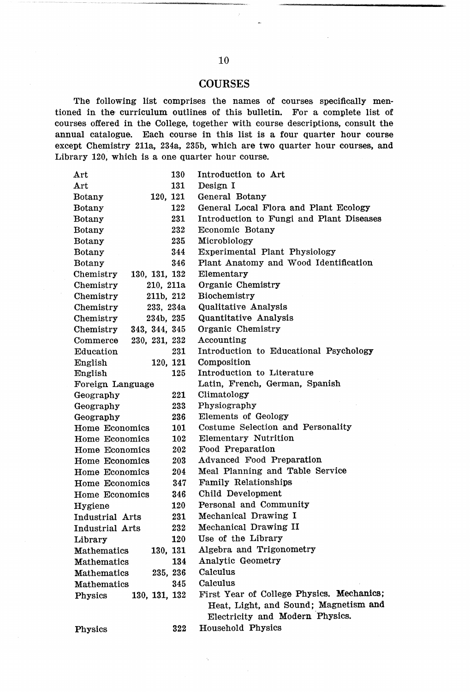#### **COURSES**

The following list comprises the names of courses specifically mentioned in the curriculum outlines of this bulletin. For a complete list of courses offered in the College, together with course descriptions, consult the annual catalogue. Each course in this list is a four quarter hour course except Chemistry 2lla, 234a, 235b, which are two quarter hour courses, and Library 120, which is a one quarter hour course.

| Art                        | 130 | Introduction to Art                       |
|----------------------------|-----|-------------------------------------------|
| Art                        | 131 | Design I                                  |
| 120, 121<br><b>Botany</b>  |     | General Botany                            |
| <b>Botany</b>              | 122 | General Local Flora and Plant Ecology     |
| Botany                     | 231 | Introduction to Fungi and Plant Diseases  |
| Botany                     | 232 | Economic Botany                           |
| Botany                     | 235 | Microbiology                              |
| Botany                     | 344 | Experimental Plant Physiology             |
| Botany                     | 346 | Plant Anatomy and Wood Identification     |
| 130, 131, 132<br>Chemistry |     | Elementary                                |
| 210, 211a<br>Chemistry     |     | Organic Chemistry                         |
| Chemistry<br>211b, 212     |     | Biochemistry                              |
| Chemistry<br>233, 234a     |     | Qualitative Analysis                      |
| 234b, 235<br>Chemistry     |     | Quantitative Analysis                     |
| 343, 344, 345<br>Chemistry |     | Organic Chemistry                         |
| 230, 231, 232<br>Commerce  |     | Accounting                                |
| Education                  | 231 | Introduction to Educational Psychology    |
| 120, 121<br>English        |     | Composition                               |
| English                    | 125 | Introduction to Literature                |
| Foreign Language           |     | Latin, French, German, Spanish            |
| Geography                  | 221 | Climatology                               |
| Geography                  | 233 | Physiography                              |
| Geography                  | 236 | Elements of Geology                       |
| Home Economics             | 101 | Costume Selection and Personality         |
| <b>Home Economics</b>      | 102 | Elementary Nutrition                      |
| Home Economics             | 202 | Food Preparation                          |
| Home Economics             | 203 | Advanced Food Preparation                 |
| Home Economics             | 204 | Meal Planning and Table Service           |
| Home Economics             | 347 | Family Relationships                      |
| Home Economics             | 346 | Child Development                         |
| Hygiene                    | 120 | Personal and Community                    |
| Industrial Arts            | 231 | Mechanical Drawing I                      |
| Industrial Arts            | 232 | Mechanical Drawing II                     |
| Library                    | 120 | Use of the Library                        |
| 130, 131<br>Mathematics    |     | Algebra and Trigonometry                  |
| Mathematics                | 134 | Analytic Geometry                         |
| Mathematics<br>235, 236    |     | Calculus                                  |
| Mathematics                | 345 | Calculus                                  |
| 130, 131, 132<br>Physics   |     | First Year of College Physics. Mechanics; |
|                            |     | Heat, Light, and Sound; Magnetism and     |
|                            |     | Electricity and Modern Physics.           |
| Physics                    | 322 | Household Physics                         |

 $\lambda_{\rm c}$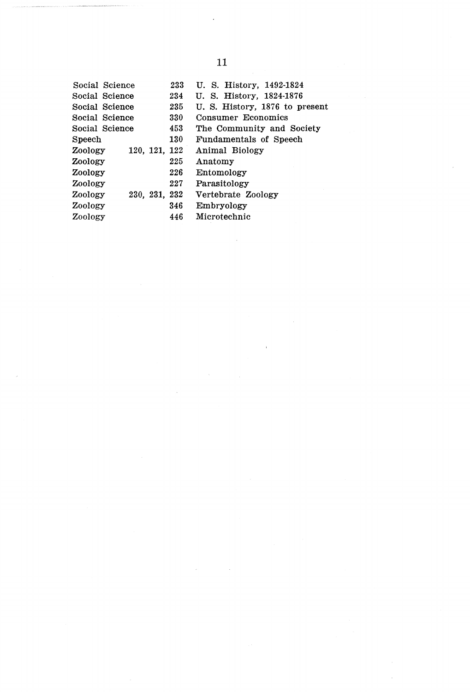| Social Science           | 233 | U. S. History, 1492-1824      |
|--------------------------|-----|-------------------------------|
| Social Science           | 234 | U. S. History, 1824-1876      |
| Social Science           | 235 | U.S. History, 1876 to present |
| Social Science           | 330 | Consumer Economics            |
| Social Science           | 453 | The Community and Society     |
| <b>Speech</b>            | 130 | Fundamentals of Speech        |
| 120, 121, 122<br>Zoology |     | Animal Biology                |
| Zoology                  | 225 | Anatomy                       |
| Zoology                  | 226 | Entomology                    |
| Zoology                  | 227 | Parasitology                  |
| 230, 231, 232<br>Zoology |     | Vertebrate Zoology            |
| Zoology                  | 346 | Embryology                    |
| Zoology                  | 446 | Microtechnic                  |
|                          |     |                               |